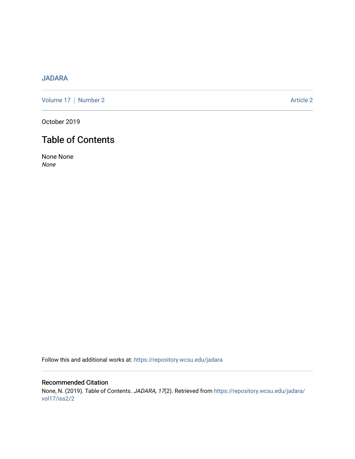# [JADARA](https://repository.wcsu.edu/jadara)

[Volume 17](https://repository.wcsu.edu/jadara/vol17) | [Number 2](https://repository.wcsu.edu/jadara/vol17/iss2) Article 2

October 2019

# Table of Contents

None None None

Follow this and additional works at: [https://repository.wcsu.edu/jadara](https://repository.wcsu.edu/jadara?utm_source=repository.wcsu.edu%2Fjadara%2Fvol17%2Fiss2%2F2&utm_medium=PDF&utm_campaign=PDFCoverPages)

Recommended Citation None, N. (2019). Table of Contents. JADARA, 17(2). Retrieved from [https://repository.wcsu.edu/jadara/](https://repository.wcsu.edu/jadara/vol17/iss2/2?utm_source=repository.wcsu.edu%2Fjadara%2Fvol17%2Fiss2%2F2&utm_medium=PDF&utm_campaign=PDFCoverPages) [vol17/iss2/2](https://repository.wcsu.edu/jadara/vol17/iss2/2?utm_source=repository.wcsu.edu%2Fjadara%2Fvol17%2Fiss2%2F2&utm_medium=PDF&utm_campaign=PDFCoverPages)